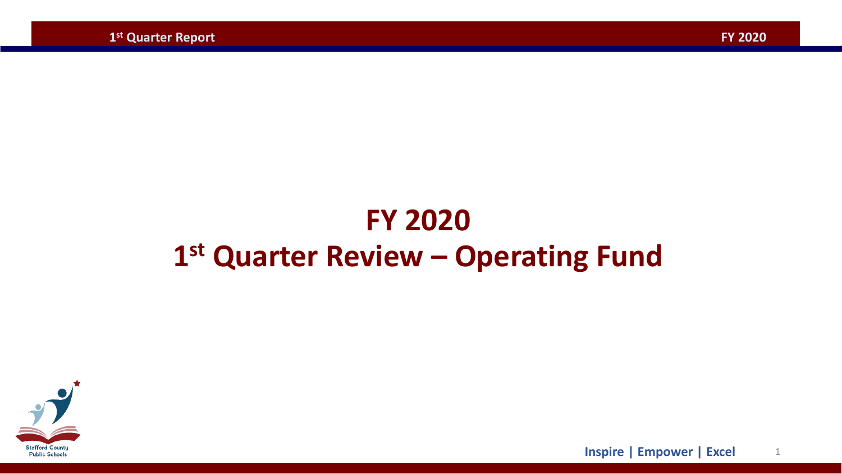## **FY 2020 1st Quarter Review – Operating Fund**



1 **Inspire | Empower | Excel**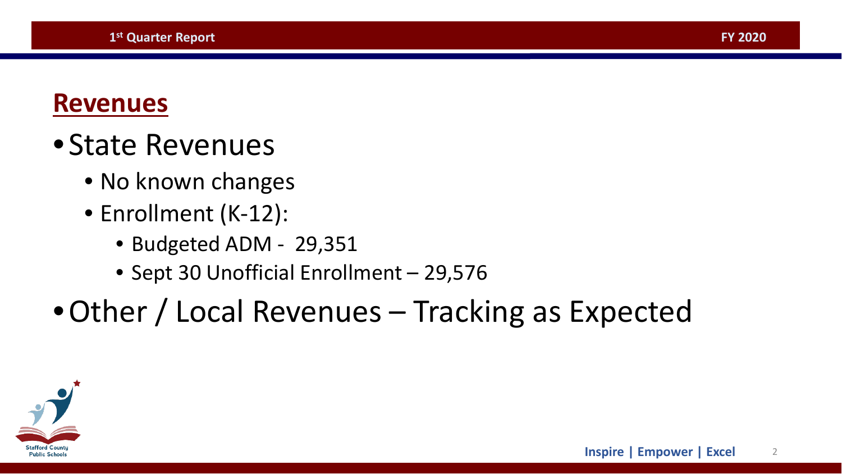### **Revenues**

## • State Revenues

- No known changes
- Enrollment (K-12):
	- Budgeted ADM 29,351
	- Sept 30 Unofficial Enrollment 29,576

# •Other / Local Revenues – Tracking as Expected

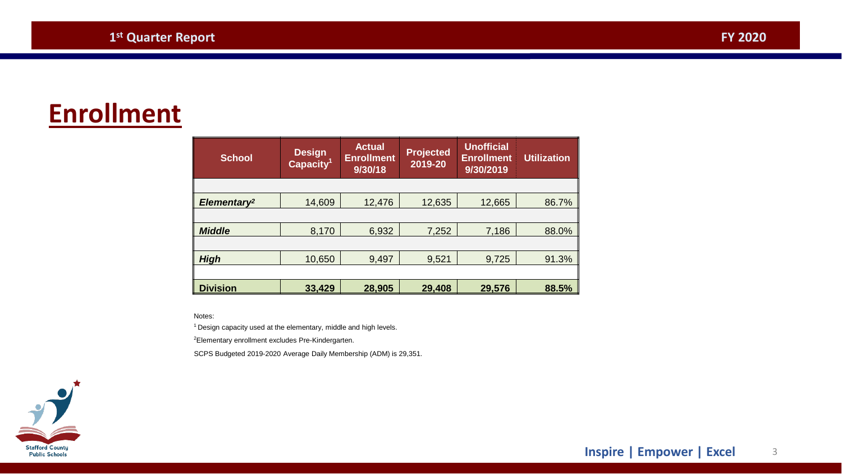### **Enrollment**

| <b>School</b>           | <b>Design</b><br>Capacity <sup>1</sup> | <b>Actual</b><br><b>Enrollment</b><br>9/30/18 | <b>Projected</b><br>2019-20 | <b>Unofficial</b><br><b>Enrollment</b><br>9/30/2019 | <b>Utilization</b> |
|-------------------------|----------------------------------------|-----------------------------------------------|-----------------------------|-----------------------------------------------------|--------------------|
|                         |                                        |                                               |                             |                                                     |                    |
| Elementary <sup>2</sup> | 14,609                                 | 12,476                                        | 12,635                      | 12,665                                              | 86.7%              |
|                         |                                        |                                               |                             |                                                     |                    |
| <b>Middle</b>           | 8,170                                  | 6,932                                         | 7,252                       | 7,186                                               | 88.0%              |
|                         |                                        |                                               |                             |                                                     |                    |
| <b>High</b>             | 10,650                                 | 9,497                                         | 9,521                       | 9,725                                               | 91.3%              |
|                         |                                        |                                               |                             |                                                     |                    |
| <b>Division</b>         | 33,429                                 | 28,905                                        | 29,408                      | 29,576                                              | 88.5%              |

Notes:

1 Design capacity used at the elementary, middle and high levels.

<sup>2</sup>Elementary enrollment excludes Pre-Kindergarten.

SCPS Budgeted 2019-2020 Average Daily Membership (ADM) is 29,351.

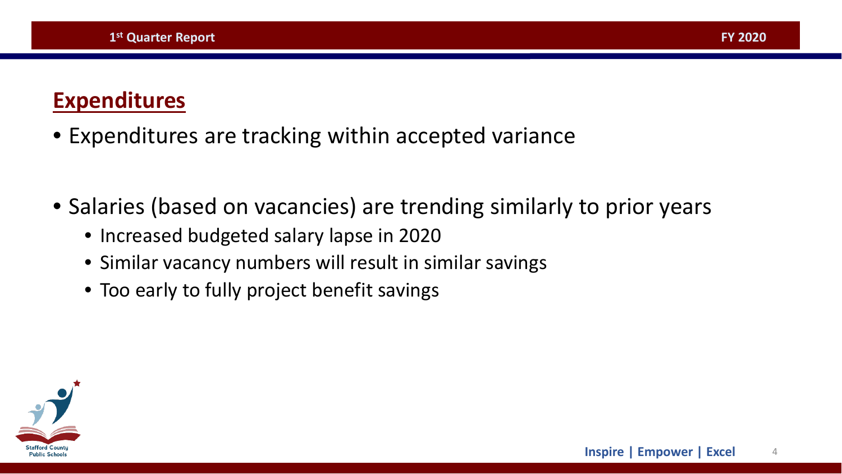#### **Expenditures**

- Expenditures are tracking within accepted variance
- Salaries (based on vacancies) are trending similarly to prior years
	- Increased budgeted salary lapse in 2020
	- Similar vacancy numbers will result in similar savings
	- Too early to fully project benefit savings

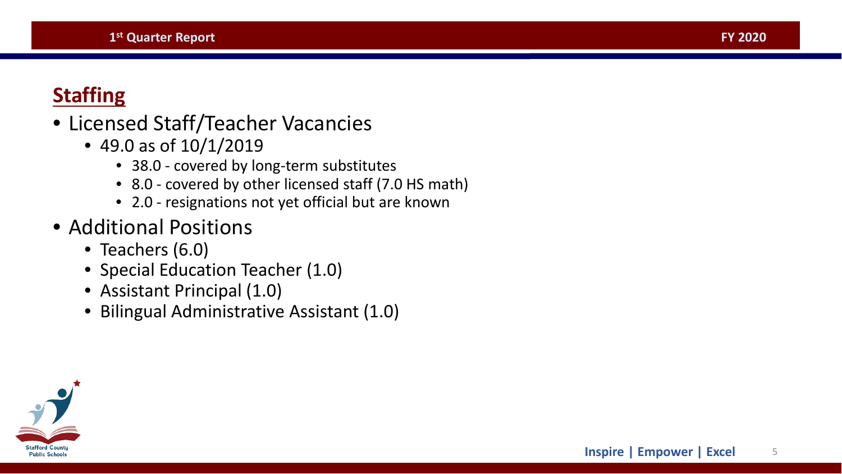#### <span id="page-4-0"></span>**Staffing**

#### • Licensed Staff/Teacher Vacancies

- 49.0 as of 10/1/2019
	- 38.0 covered by long-term substitutes
	- 8.0 covered by other licensed staff (7.0 HS math)
	- 2.0 resignations not yet official but are known

#### • Additional Positions

- Teachers (6.0)
- Special Education Teacher (1.0)
- Assistant Principal (1.0)
- Bilingual Administrative Assistant (1.0)

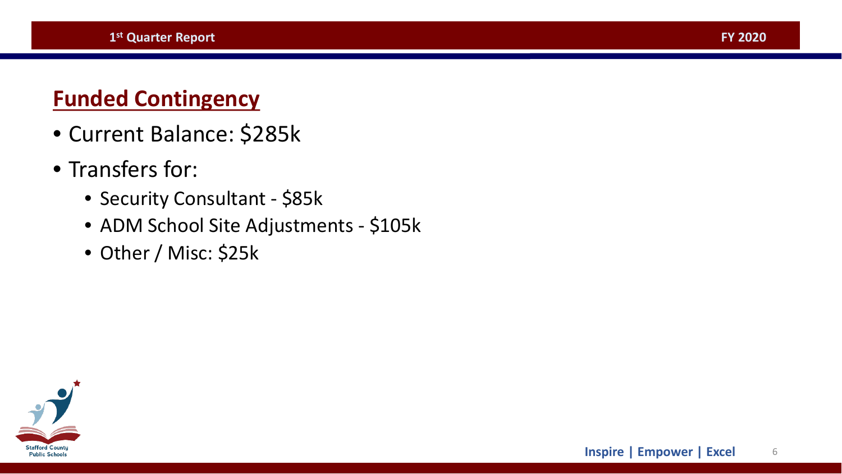#### **Funded Contingency**

- Current Balance: \$285k
- Transfers for:
	- Security Consultant \$85k
	- ADM School Site Adjustments \$105k

**[FY 2020](#page-4-0)**

**Inspire | Empower | Excel** 6

• Other / Misc: \$25k